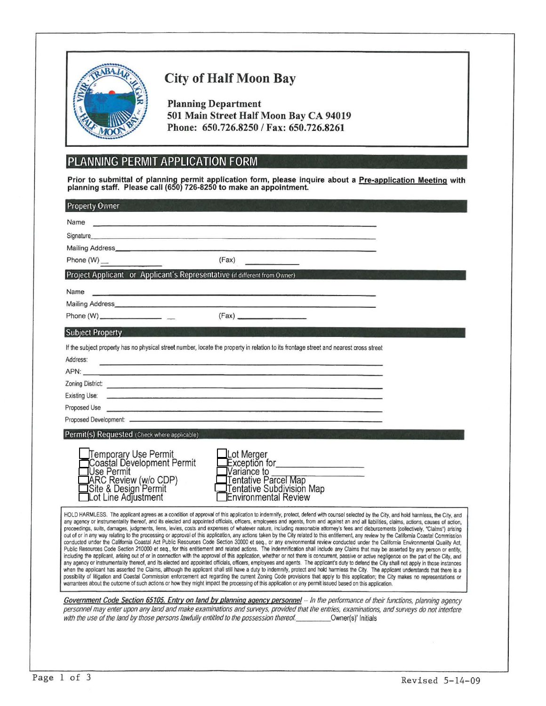

# **City of Half Moon Bay**

**Planning Department** 501 Main Street Half Moon Bay CA 94019 Phone: 650.726.8250 / Fax: 650.726.8261

## PLANNING PERMIT APPLICATION FORM

Prior to submittal of planning permit application form, please inquire about a Pre-application Meeting with planning staff. Please call (650) 726-8250 to make an appointment.

| <b>Property Owner</b>                                                                                                                                                                                                                                                                                                                                                                                                                                                                                                                                                                                                                                                                                                                                                                                                                                                                                                                                                                                                                                                                                                                                                                                                                                                                                                                                                                                                                                                                                                                                                                                                                                                                                                                                                                                                                                                                                                                                                                                                                                                                         |
|-----------------------------------------------------------------------------------------------------------------------------------------------------------------------------------------------------------------------------------------------------------------------------------------------------------------------------------------------------------------------------------------------------------------------------------------------------------------------------------------------------------------------------------------------------------------------------------------------------------------------------------------------------------------------------------------------------------------------------------------------------------------------------------------------------------------------------------------------------------------------------------------------------------------------------------------------------------------------------------------------------------------------------------------------------------------------------------------------------------------------------------------------------------------------------------------------------------------------------------------------------------------------------------------------------------------------------------------------------------------------------------------------------------------------------------------------------------------------------------------------------------------------------------------------------------------------------------------------------------------------------------------------------------------------------------------------------------------------------------------------------------------------------------------------------------------------------------------------------------------------------------------------------------------------------------------------------------------------------------------------------------------------------------------------------------------------------------------------|
| Name<br><u> Terry a Campion Company and Campion Company and</u>                                                                                                                                                                                                                                                                                                                                                                                                                                                                                                                                                                                                                                                                                                                                                                                                                                                                                                                                                                                                                                                                                                                                                                                                                                                                                                                                                                                                                                                                                                                                                                                                                                                                                                                                                                                                                                                                                                                                                                                                                               |
| Signature <b>Signature Signature Signature Signature Signature Signature Signature Signature Signature Signature Signature Signature Signature Signature Signature Signature Signature Signatu</b>                                                                                                                                                                                                                                                                                                                                                                                                                                                                                                                                                                                                                                                                                                                                                                                                                                                                                                                                                                                                                                                                                                                                                                                                                                                                                                                                                                                                                                                                                                                                                                                                                                                                                                                                                                                                                                                                                            |
| Mailing Address <b>Mailing</b> Address <b>Mailing</b> Address <b>Mailing</b> Address <b>Mailing</b> Address <b>Mailing</b> Address <b>Mailing</b> Address <b>Mailing</b> Address <b>Mailing</b> Address <b>Mailing</b> Address <b>Mailing</b> Address <b>Mailing</b> Address <b>Mailing</b>                                                                                                                                                                                                                                                                                                                                                                                                                                                                                                                                                                                                                                                                                                                                                                                                                                                                                                                                                                                                                                                                                                                                                                                                                                                                                                                                                                                                                                                                                                                                                                                                                                                                                                                                                                                                   |
| (Fax)                                                                                                                                                                                                                                                                                                                                                                                                                                                                                                                                                                                                                                                                                                                                                                                                                                                                                                                                                                                                                                                                                                                                                                                                                                                                                                                                                                                                                                                                                                                                                                                                                                                                                                                                                                                                                                                                                                                                                                                                                                                                                         |
| Project Applicant or Applicant's Representative (if different from Owner)                                                                                                                                                                                                                                                                                                                                                                                                                                                                                                                                                                                                                                                                                                                                                                                                                                                                                                                                                                                                                                                                                                                                                                                                                                                                                                                                                                                                                                                                                                                                                                                                                                                                                                                                                                                                                                                                                                                                                                                                                     |
| Name<br>the process of the control of the control of the control of the control of the control of                                                                                                                                                                                                                                                                                                                                                                                                                                                                                                                                                                                                                                                                                                                                                                                                                                                                                                                                                                                                                                                                                                                                                                                                                                                                                                                                                                                                                                                                                                                                                                                                                                                                                                                                                                                                                                                                                                                                                                                             |
|                                                                                                                                                                                                                                                                                                                                                                                                                                                                                                                                                                                                                                                                                                                                                                                                                                                                                                                                                                                                                                                                                                                                                                                                                                                                                                                                                                                                                                                                                                                                                                                                                                                                                                                                                                                                                                                                                                                                                                                                                                                                                               |
| (Fax)                                                                                                                                                                                                                                                                                                                                                                                                                                                                                                                                                                                                                                                                                                                                                                                                                                                                                                                                                                                                                                                                                                                                                                                                                                                                                                                                                                                                                                                                                                                                                                                                                                                                                                                                                                                                                                                                                                                                                                                                                                                                                         |
| <b>Subject Property</b>                                                                                                                                                                                                                                                                                                                                                                                                                                                                                                                                                                                                                                                                                                                                                                                                                                                                                                                                                                                                                                                                                                                                                                                                                                                                                                                                                                                                                                                                                                                                                                                                                                                                                                                                                                                                                                                                                                                                                                                                                                                                       |
| If the subject property has no physical street number, locate the property in relation to its frontage street and nearest cross street                                                                                                                                                                                                                                                                                                                                                                                                                                                                                                                                                                                                                                                                                                                                                                                                                                                                                                                                                                                                                                                                                                                                                                                                                                                                                                                                                                                                                                                                                                                                                                                                                                                                                                                                                                                                                                                                                                                                                        |
| Address:<br>the contract of the contract of the contract of the contract of the contract of the contract of the contract of                                                                                                                                                                                                                                                                                                                                                                                                                                                                                                                                                                                                                                                                                                                                                                                                                                                                                                                                                                                                                                                                                                                                                                                                                                                                                                                                                                                                                                                                                                                                                                                                                                                                                                                                                                                                                                                                                                                                                                   |
| APN: <b>APN: APN: APN: APN: APN: APPN: APPN: APPN: APPN: APPN: APPN: APPN: APPN: APPN: APPN: APPN: APPN: APPN: APPN: APPN: APPN: APPN: APPN: APPN: APPN: APPN: APPN: APPN:</b>                                                                                                                                                                                                                                                                                                                                                                                                                                                                                                                                                                                                                                                                                                                                                                                                                                                                                                                                                                                                                                                                                                                                                                                                                                                                                                                                                                                                                                                                                                                                                                                                                                                                                                                                                                                                                                                                                                                |
| Zoning District: New York Contract of the Contract of the Contract of the Contract of the Contract of the Contract of the Contract of the Contract of the Contract of the Contract of the Contract of the Contract of the Cont                                                                                                                                                                                                                                                                                                                                                                                                                                                                                                                                                                                                                                                                                                                                                                                                                                                                                                                                                                                                                                                                                                                                                                                                                                                                                                                                                                                                                                                                                                                                                                                                                                                                                                                                                                                                                                                                |
| Existing Use:<br>the contract of the contract of the contract of the contract of the contract of the contract of the contract of                                                                                                                                                                                                                                                                                                                                                                                                                                                                                                                                                                                                                                                                                                                                                                                                                                                                                                                                                                                                                                                                                                                                                                                                                                                                                                                                                                                                                                                                                                                                                                                                                                                                                                                                                                                                                                                                                                                                                              |
| Proposed Use <u>experimental contract and the set of the set of the set of the set of the set of the set of the set of the set of the set of the set of the set of the set of the set of the set of the set of the set of the se</u>                                                                                                                                                                                                                                                                                                                                                                                                                                                                                                                                                                                                                                                                                                                                                                                                                                                                                                                                                                                                                                                                                                                                                                                                                                                                                                                                                                                                                                                                                                                                                                                                                                                                                                                                                                                                                                                          |
|                                                                                                                                                                                                                                                                                                                                                                                                                                                                                                                                                                                                                                                                                                                                                                                                                                                                                                                                                                                                                                                                                                                                                                                                                                                                                                                                                                                                                                                                                                                                                                                                                                                                                                                                                                                                                                                                                                                                                                                                                                                                                               |
| Permit(s) Requested (Check where applicable)                                                                                                                                                                                                                                                                                                                                                                                                                                                                                                                                                                                                                                                                                                                                                                                                                                                                                                                                                                                                                                                                                                                                                                                                                                                                                                                                                                                                                                                                                                                                                                                                                                                                                                                                                                                                                                                                                                                                                                                                                                                  |
| Temporary Use Permit<br>Coastal Development Permit<br>Lot Merger                                                                                                                                                                                                                                                                                                                                                                                                                                                                                                                                                                                                                                                                                                                                                                                                                                                                                                                                                                                                                                                                                                                                                                                                                                                                                                                                                                                                                                                                                                                                                                                                                                                                                                                                                                                                                                                                                                                                                                                                                              |
| Exception for____________________<br>Use Permit<br>Variance to                                                                                                                                                                                                                                                                                                                                                                                                                                                                                                                                                                                                                                                                                                                                                                                                                                                                                                                                                                                                                                                                                                                                                                                                                                                                                                                                                                                                                                                                                                                                                                                                                                                                                                                                                                                                                                                                                                                                                                                                                                |
| Tentative Parcel Map<br>Tentative Subdivision Map                                                                                                                                                                                                                                                                                                                                                                                                                                                                                                                                                                                                                                                                                                                                                                                                                                                                                                                                                                                                                                                                                                                                                                                                                                                                                                                                                                                                                                                                                                                                                                                                                                                                                                                                                                                                                                                                                                                                                                                                                                             |
| JARC Review (w/o CDP)<br>ISite & Design Permit<br>ILot Line Adjustment<br><b>Environmental Review</b>                                                                                                                                                                                                                                                                                                                                                                                                                                                                                                                                                                                                                                                                                                                                                                                                                                                                                                                                                                                                                                                                                                                                                                                                                                                                                                                                                                                                                                                                                                                                                                                                                                                                                                                                                                                                                                                                                                                                                                                         |
|                                                                                                                                                                                                                                                                                                                                                                                                                                                                                                                                                                                                                                                                                                                                                                                                                                                                                                                                                                                                                                                                                                                                                                                                                                                                                                                                                                                                                                                                                                                                                                                                                                                                                                                                                                                                                                                                                                                                                                                                                                                                                               |
| HOLD HARMLESS. The applicant agrees as a condition of approval of this application to indemnify, protect, defend with counsel selected by the City, and hold harmless, the City, and<br>any agency or instrumentality thereof, and its elected and appointed officials, officers, employees and agents, from and against an and all liabilities, claims, actions, causes of action,<br>proceedings, suits, damages, judgments, liens, levies, costs and expenses of whatever nature, including reasonable attorney's fees and disbursements (collectively, "Claims") arising<br>out of or in any way relating to the processing or approval of this application, any actions taken by the City related to this entitlement, any review by the California Coastal Commission<br>conducted under the California Coastal Act Public Resources Code Section 30000 et seq., or any environmental review conducted under the California Environmental Quality Act.<br>Public Resources Code Section 210000 et seq., for this entitlement and related actions. The indemnification shall include any Claims that may be asserted by any person or entity,<br>including the applicant, arising out of or in connection with the approval of this application, whether or not there is concurrent, passive or active negligence on the part of the City, and<br>any agency or instrumentality thereof, and its elected and appointed officials, officers, employees and agents. The applicant's duty to defend the City shall not apply in those instances<br>when the applicant has asserted the Claims, although the applicant shall still have a duty to indemnify, protect and hold harmless the City. The applicant understands that there is a<br>possibility of litigation and Coastal Commission enforcement act regarding the current Zoning Code provisions that apply to this application; the City makes no representations or<br>warrantees about the outcome of such actions or how they might impact the processing of this application or any permit issued based on this application. |
|                                                                                                                                                                                                                                                                                                                                                                                                                                                                                                                                                                                                                                                                                                                                                                                                                                                                                                                                                                                                                                                                                                                                                                                                                                                                                                                                                                                                                                                                                                                                                                                                                                                                                                                                                                                                                                                                                                                                                                                                                                                                                               |
| Government Code Section 65105. Entry on land by planning agency personnel - In the performance of their functions, planning agency<br>personnel may enter upon any land and make examinations and surveys, provided that the entries, examinations, and surveys do not interfere<br>with the use of the land by those persons lawfully entitled to the possession thereof.__________Owner(s)' Initials                                                                                                                                                                                                                                                                                                                                                                                                                                                                                                                                                                                                                                                                                                                                                                                                                                                                                                                                                                                                                                                                                                                                                                                                                                                                                                                                                                                                                                                                                                                                                                                                                                                                                        |
|                                                                                                                                                                                                                                                                                                                                                                                                                                                                                                                                                                                                                                                                                                                                                                                                                                                                                                                                                                                                                                                                                                                                                                                                                                                                                                                                                                                                                                                                                                                                                                                                                                                                                                                                                                                                                                                                                                                                                                                                                                                                                               |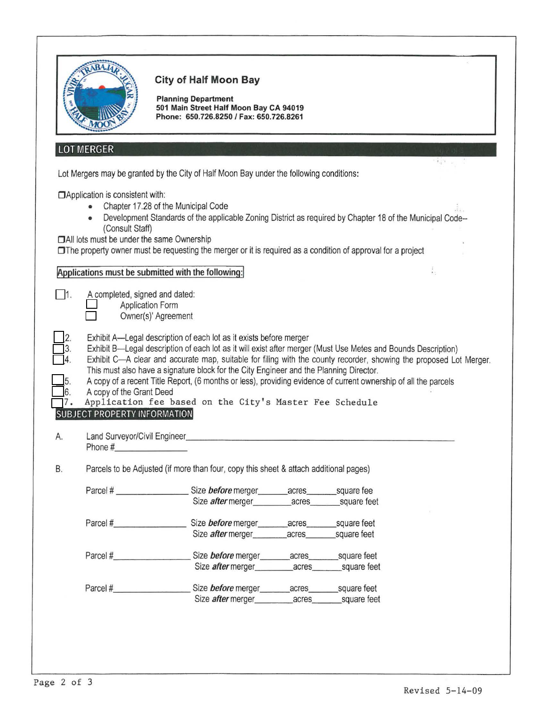|                   |                                                                                                           | <b>City of Half Moon Bay</b><br><b>Planning Department</b><br>501 Main Street Half Moon Bay CA 94019<br>Phone: 650.726.8250 / Fax: 650.726.8261                                                                                                |                                                                                                                                                                                                                                                                                                                                                        |  |
|-------------------|-----------------------------------------------------------------------------------------------------------|------------------------------------------------------------------------------------------------------------------------------------------------------------------------------------------------------------------------------------------------|--------------------------------------------------------------------------------------------------------------------------------------------------------------------------------------------------------------------------------------------------------------------------------------------------------------------------------------------------------|--|
|                   | <b>LOT MERGER</b>                                                                                         |                                                                                                                                                                                                                                                |                                                                                                                                                                                                                                                                                                                                                        |  |
|                   |                                                                                                           | Lot Mergers may be granted by the City of Half Moon Bay under the following conditions:                                                                                                                                                        |                                                                                                                                                                                                                                                                                                                                                        |  |
|                   | □ Application is consistent with:<br>(Consult Staff)<br><b>DAII</b> lots must be under the same Ownership | Chapter 17.28 of the Municipal Code<br>□The property owner must be requesting the merger or it is required as a condition of approval for a project                                                                                            | Development Standards of the applicable Zoning District as required by Chapter 18 of the Municipal Code--                                                                                                                                                                                                                                              |  |
|                   |                                                                                                           | Applications must be submitted with the following:                                                                                                                                                                                             | i.                                                                                                                                                                                                                                                                                                                                                     |  |
| $\blacksquare$ 1. | A completed, signed and dated:<br><b>Application Form</b>                                                 |                                                                                                                                                                                                                                                |                                                                                                                                                                                                                                                                                                                                                        |  |
| 5.<br>6.          | A copy of the Grant Deed<br><b>SUBJECT PROPERTY INFORMATION</b>                                           | Owner(s)' Agreement<br>Exhibit A—Legal description of each lot as it exists before merger<br>This must also have a signature block for the City Engineer and the Planning Director.<br>Application fee based on the City's Master Fee Schedule | Exhibit B-Legal description of each lot as it will exist after merger (Must Use Metes and Bounds Description)<br>Exhibit C—A clear and accurate map, suitable for filing with the county recorder, showing the proposed Lot Merger.<br>A copy of a recent Title Report, (6 months or less), providing evidence of current ownership of all the parcels |  |
| А.                | Land Surveyor/Civil Engineer<br>Phone #                                                                   |                                                                                                                                                                                                                                                |                                                                                                                                                                                                                                                                                                                                                        |  |
|                   |                                                                                                           | Parcels to be Adjusted (if more than four, copy this sheet & attach additional pages)                                                                                                                                                          |                                                                                                                                                                                                                                                                                                                                                        |  |
| B.                |                                                                                                           | Parcel # _________________________Size before merger________acres__________square fee                                                                                                                                                          |                                                                                                                                                                                                                                                                                                                                                        |  |
|                   |                                                                                                           |                                                                                                                                                                                                                                                |                                                                                                                                                                                                                                                                                                                                                        |  |
|                   |                                                                                                           |                                                                                                                                                                                                                                                |                                                                                                                                                                                                                                                                                                                                                        |  |
|                   |                                                                                                           | Size <i>after</i> merger acres square feet                                                                                                                                                                                                     |                                                                                                                                                                                                                                                                                                                                                        |  |
|                   |                                                                                                           | Parcel #__________________________Size before merger________acres___________________________________                                                                                                                                           |                                                                                                                                                                                                                                                                                                                                                        |  |
|                   |                                                                                                           |                                                                                                                                                                                                                                                |                                                                                                                                                                                                                                                                                                                                                        |  |
|                   |                                                                                                           | Parcel #_________________________Size before merger________acres_________square feet<br>Size <i>after</i> merger __________ acres ______ square feet                                                                                           |                                                                                                                                                                                                                                                                                                                                                        |  |